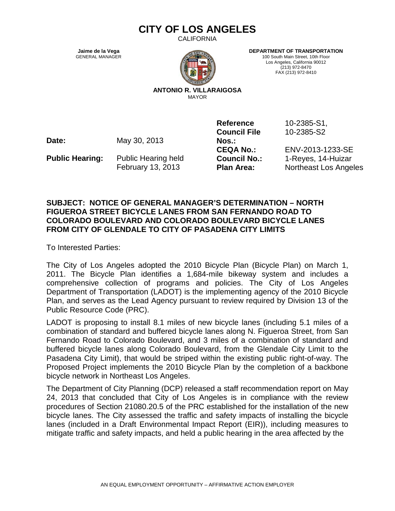## **CITY OF LOS ANGELES**

CALIFORNIA

**Jaime de la Vega** GENERAL MANAGER



**DEPARTMENT OF TRANSPORTATION**

100 South Main Street, 10th Floor Los Angeles, California 90012 (213) 972-8470 FAX (213) 972-8410

**ANTONIO R. VILLARAIGOSA** MAYOR

**Date:** May 30, 2013

**Public Hearing:** Public Hearing held February 13, 2013

**Reference Council File Nos.:**

10-2385-S1, 10-2385-S2

**CEQA No.:** ENV-2013-1233-SE **Council No.:** 1-Reyes, 14-Huizar **Plan Area:** Northeast Los Angeles

## **SUBJECT: NOTICE OF GENERAL MANAGER'S DETERMINATION – NORTH FIGUEROA STREET BICYCLE LANES FROM SAN FERNANDO ROAD TO COLORADO BOULEVARD AND COLORADO BOULEVARD BICYCLE LANES FROM CITY OF GLENDALE TO CITY OF PASADENA CITY LIMITS**

To Interested Parties:

The City of Los Angeles adopted the 2010 Bicycle Plan (Bicycle Plan) on March 1, 2011. The Bicycle Plan identifies a 1,684-mile bikeway system and includes a comprehensive collection of programs and policies. The City of Los Angeles Department of Transportation (LADOT) is the implementing agency of the 2010 Bicycle Plan, and serves as the Lead Agency pursuant to review required by Division 13 of the Public Resource Code (PRC).

LADOT is proposing to install 8.1 miles of new bicycle lanes (including 5.1 miles of a combination of standard and buffered bicycle lanes along N. Figueroa Street, from San Fernando Road to Colorado Boulevard, and 3 miles of a combination of standard and buffered bicycle lanes along Colorado Boulevard, from the Glendale City Limit to the Pasadena City Limit), that would be striped within the existing public right-of-way. The Proposed Project implements the 2010 Bicycle Plan by the completion of a backbone bicycle network in Northeast Los Angeles.

The Department of City Planning (DCP) released a staff recommendation report on May 24, 2013 that concluded that City of Los Angeles is in compliance with the review procedures of Section 21080.20.5 of the PRC established for the installation of the new bicycle lanes. The City assessed the traffic and safety impacts of installing the bicycle lanes (included in a Draft Environmental Impact Report (EIR)), including measures to mitigate traffic and safety impacts, and held a public hearing in the area affected by the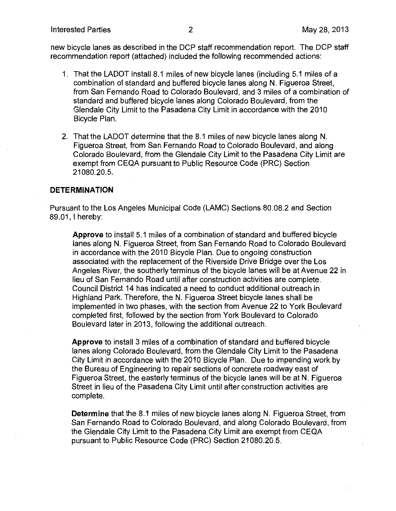new bicycle lanes as described in the DCP staff recommendation report. The DCP staff recommendation report (attached) included the following recommended actions:

- 1. That the LADOT install 8.1 miles of new bicycle lanes (including 5.1 miles of a combination of standard and buffered bicycle lanes along N. Figueroa Street, from San Fernando Road to Colorado Boulevard, and 3 miles of a combination of standard and buffered bicycle lanes along Colorado Boulevard, from the Glendale City Limit to the Pasadena City Limit in accordance with the 2010 Bicycle Plan.
- 2. That the LADOT determine that the 8.1 miles of new bicycle lanes along N. Figueroa Street, from San Fernando Road to Colorado Boulevard, and along Colorado Boulevard, from the Glendale City Limit to the Pasadena City Limit are exempt from CEQA pursuant to Public Resource Code (PRC) Section 21080.20.5

## **DETERMINATION**

Pursuant to the Los Angeles Municipal Code (LAMC) Sections 80.08.2 and Section 89.01. I hereby:

**Approve** to install 5.1 miles of a combination of standard and buffered bicycle lanes along N. Figueroa Street, from San Fernando Road to Colorado Boulevard in accordance with the 2010 Bicycle Plan. Due to ongoing construction associated with the replacement of the Riverside Drive Bridge over the Los Angeles River, the southerly terminus of the bicycle lanes will be at Avenue 22 in lieu of San Fernando Road until after construction activities are complete. Council District 14 has indicated a need to conduct additional outreach in Highland Park. Therefore, the N. Figueroa Street bicycle lanes shall be implemented in two phases, with the section from Avenue 22 to York Boulevard completed first, followed by the section from York Boulevard to Colorado Boulevard later in 2013, following the additional outreach.

Approve to install 3 miles of a combination of standard and buffered bicycle lanes along Colorado Boulevard, from the Glendale City Limit to the Pasadena City Limit in accordance with the 2010 Bicycle Plan. Due to impending work by the Bureau of Engineering to repair sections of concrete roadway east of Figueroa Street, the easterly terminus of the bicycle lanes will be at N. Figueroa Street in lieu of the Pasadena City Limit until after construction activities are complete.

**Determine** that the 8.1 miles of new bicycle lanes along N. Figueroa Street, from San Fernando Road to Colorado Boulevard, and along Colorado Boulevard, from the Glendale City Limit to the Pasadena City Limit are exempt from CEQA pursuant to Public Resource Code (PRC) Section 21080.20.5.